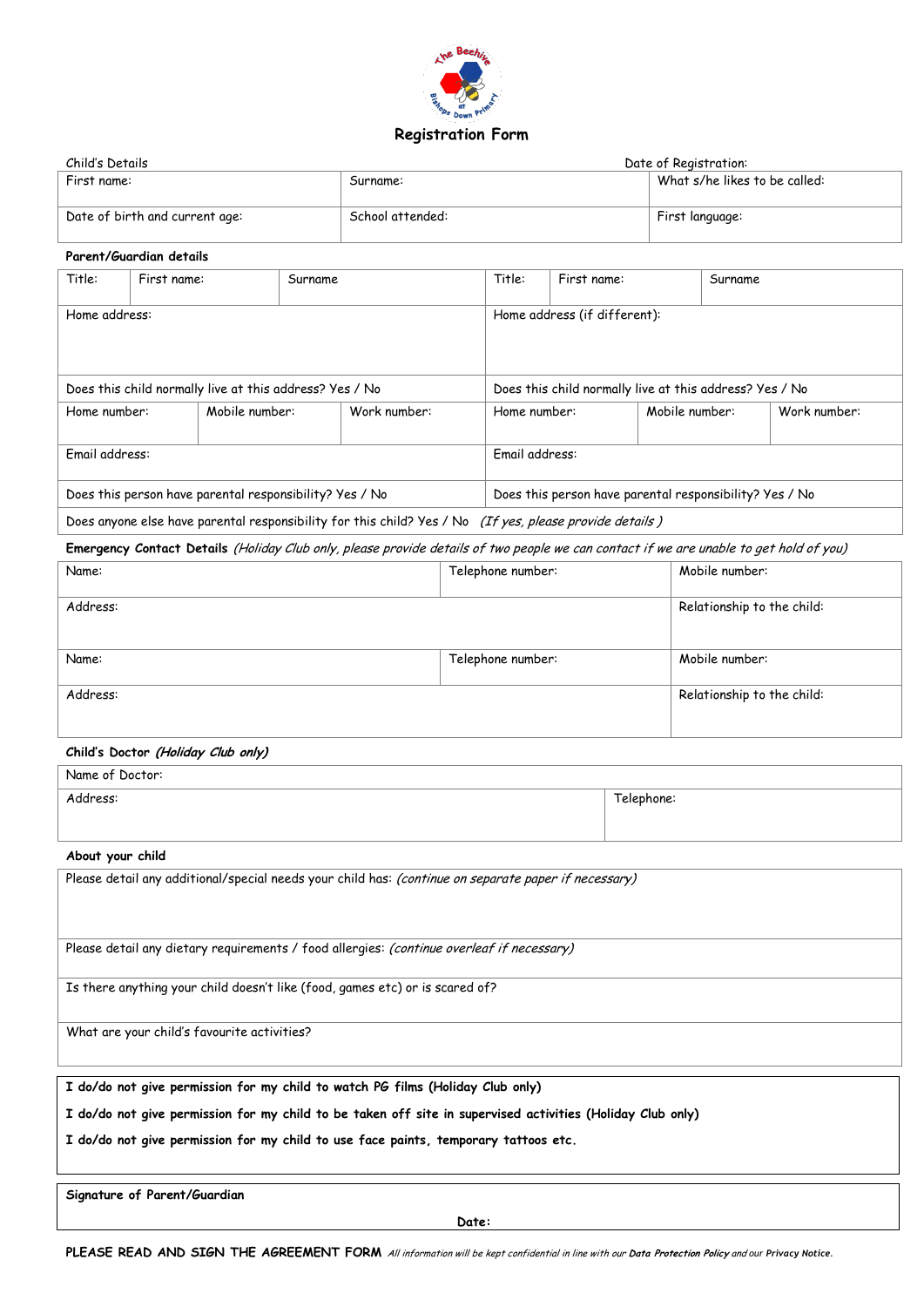

# **Registration Form**

| Child's Details                |                  | Date of Registration:         |  |
|--------------------------------|------------------|-------------------------------|--|
| First name:                    | Surname:         | What s/he likes to be called: |  |
| Date of birth and current age: | School attended: | First language:               |  |

### **Parent/Guardian details**

| Title:                                                                                                  | First name:    | Surname                                                                                                            | Title:                                                  | First name:    |                | Surname |              |
|---------------------------------------------------------------------------------------------------------|----------------|--------------------------------------------------------------------------------------------------------------------|---------------------------------------------------------|----------------|----------------|---------|--------------|
| Home address:                                                                                           |                |                                                                                                                    | Home address (if different):                            |                |                |         |              |
| Does this child normally live at this address? Yes / No                                                 |                |                                                                                                                    | Does this child normally live at this address? Yes / No |                |                |         |              |
| Home number:                                                                                            | Mobile number: | Work number:                                                                                                       |                                                         | Home number:   | Mobile number: |         | Work number: |
| Fmail address:                                                                                          |                |                                                                                                                    |                                                         | Fmail address: |                |         |              |
|                                                                                                         |                | Does this person have parental responsibility? Yes / No<br>Does this person have parental responsibility? Yes / No |                                                         |                |                |         |              |
| Does anyone else have parental responsibility for this child? Yes / No (If yes, please provide details) |                |                                                                                                                    |                                                         |                |                |         |              |

**Emergency Contact Details** (Holiday Club only, please provide details of two people we can contact if we are unable to get hold of you)

| Name:    | Telephone number: | Mobile number:             |
|----------|-------------------|----------------------------|
| Address: |                   | Relationship to the child: |
| Name:    | Telephone number: | Mobile number:             |
| Address: |                   | Relationship to the child: |
|          |                   |                            |

#### **Child's Doctor (Holiday Club only)**

| Name of Doctor: |            |
|-----------------|------------|
| Address:        | Telephone: |

### **About your child**

Please detail any additional/special needs your child has: (continue on separate paper if necessary)

Please detail any dietary requirements / food allergies: (continue overleaf if necessary)

Is there anything your child doesn't like (food, games etc) or is scared of?

What are your child's favourite activities?

**I do/do not give permission for my child to watch PG films (Holiday Club only)**

**I do/do not give permission for my child to be taken off site in supervised activities (Holiday Club only)**

**I do/do not give permission for my child to use face paints, temporary tattoos etc.**

**Signature of Parent/Guardian**

**Date:** 

**PLEASE READ AND SIGN THE AGREEMENT FORM** All information will be kept confidential in line with our **Data Protection Policy** and *our Privacy Notice.*